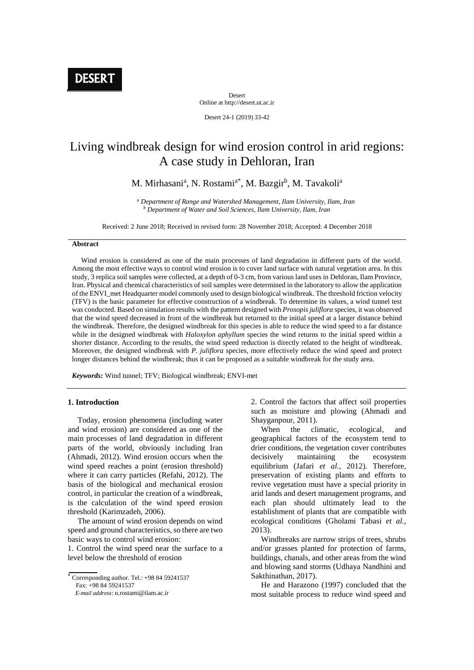Desert Online at http://desert.ut.ac.ir

Desert 24-1 (2019) 33-42

# Living windbreak design for wind erosion control in arid regions: A case study in Dehloran, Iran

M. Mirhasani<sup>a</sup>, N. Rostami<sup>a\*</sup>, M. Bazgir<sup>b</sup>, M. Tavakoli<sup>a</sup>

*<sup>a</sup> Department of Range and Watershed Management, Ilam University, Ilam, Iran <sup>b</sup> Department of Water and Soil Sciences, Ilam University, Ilam, Iran*

Received: 2 June 2018; Received in revised form: 28 November 2018; Accepted: 4 December 2018

# **Abstract**

 Wind erosion is considered as one of the main processes of land degradation in different parts of the world. Among the most effective ways to control wind erosion is to cover land surface with natural vegetation area. In this study, 3 replica soil samples were collected, at a depth of 0-3 cm, from various land uses in Dehloran, Ilam Province, Iran. Physical and chemical characteristics of soil samples were determined in the laboratory to allow the application of the ENVI\_met Headquarter model commonly used to design biological windbreak. The threshold friction velocity (TFV) is the basic parameter for effective construction of a windbreak. To determine its values, a wind tunnel test was conducted. Based on simulation results with the pattern designed with *Prosopis juliflora* species, it was observed that the wind speed decreased in front of the windbreak but returned to the initial speed at a larger distance behind the windbreak. Therefore, the designed windbreak for this species is able to reduce the wind speed to a far distance while in the designed windbreak with *Haloxylon aphyllum* species the wind returns to the initial speed within a shorter distance. According to the results, the wind speed reduction is directly related to the height of windbreak. Moreover, the designed windbreak with *P. juliflora* species, more effectively reduce the wind speed and protect longer distances behind the windbreak; thus it can be proposed as a suitable windbreak for the study area.

*Keywords:* Wind tunnel; TFV; Biological windbreak; ENVI-met

#### **1. Introduction**

 Today, erosion phenomena (including water and wind erosion) are considered as one of the main processes of land degradation in different parts of the world, obviously including Iran (Ahmadi, 2012). Wind erosion occurs when the wind speed reaches a point (erosion threshold) where it can carry particles (Refahi, 2012). The basis of the biological and mechanical erosion control, in particular the creation of a windbreak, is the calculation of the wind speed erosion threshold (Karimzadeh, 2006).

 The amount of wind erosion depends on wind speed and ground characteristics, so there are two basic ways to control wind erosion:

1. Control the wind speed near the surface to a level below the threshold of erosion

 Corresponding author. Tel.: +98 84 59241537 Fax: +98 84 59241537

 *E-mail address*: n.rostami@ilam.ac.ir

2. Control the factors that affect soil properties such as moisture and plowing (Ahmadi and Shayganpour, 2011).

 When the climatic, ecological, and geographical factors of the ecosystem tend to drier conditions, the vegetation cover contributes decisively maintaining the ecosystem equilibrium (Jafari *et al.,* 2012). Therefore, preservation of existing plants and efforts to revive vegetation must have a special priority in arid lands and desert management programs, and each plan should ultimately lead to the establishment of plants that are compatible with ecological conditions (Gholami Tabasi *et al.,* 2013).

 Windbreaks are narrow strips of trees, shrubs and/or grasses planted for protection of farms, buildings, chanals, and other areas from the wind and blowing sand storms (Udhaya Nandhini and Sakthinathan, 2017).

 He and Harazono (1997) concluded that the most suitable process to reduce wind speed and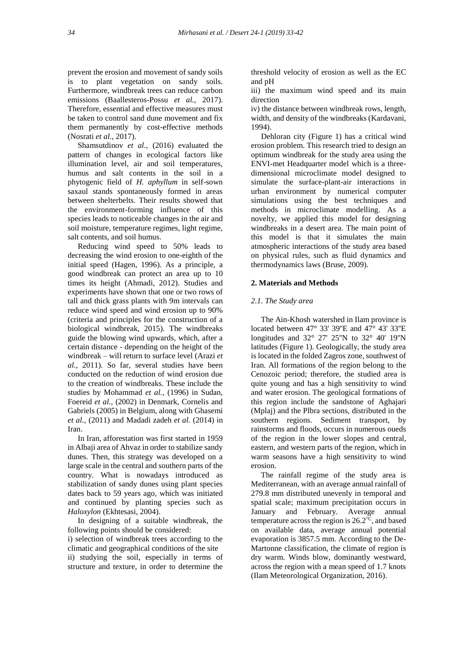prevent the erosion and movement of sandy soils is to plant vegetation on sandy soils. Furthermore, windbreak trees can reduce carbon emissions (Baallesteros-Possu *et al.,* 2017). Therefore, essential and effective measures must be taken to control sand dune movement and fix them permanently by cost-effective methods (Nosrati *et al.,* 2017).

 Shamsutdinov *et al.,* (2016) evaluated the pattern of changes in ecological factors like illumination level, air and soil temperatures, humus and salt contents in the soil in a phytogenic field of *H. aphyllum* in self-sown saxaul stands spontaneously formed in areas between shelterbelts. Their results showed that the environment-forming influence of this species leads to noticeable changes in the air and soil moisture, temperature regimes, light regime, salt contents, and soil humus.

 Reducing wind speed to 50% leads to decreasing the wind erosion to one-eighth of the initial speed (Hagen, 1996). As a principle, a good windbreak can protect an area up to 10 times its height (Ahmadi, 2012). Studies and experiments have shown that one or two rows of tall and thick grass plants with 9m intervals can reduce wind speed and wind erosion up to 90% (criteria and principles for the construction of a biological windbreak, 2015). The windbreaks guide the blowing wind upwards, which, after a certain distance - depending on the height of the windbreak – will return to surface level (Arazi *et al.,* 2011). So far, several studies have been conducted on the reduction of wind erosion due to the creation of windbreaks. These include the studies by Mohammad *et al.,* (1996) in Sudan, Foereid *et al.,* (2002) in Denmark, Cornelis and Gabriels (2005) in Belgium, along with Ghasemi *et al.,* (2011) and Madadi zadeh *et al.* (2014) in Iran.

 In Iran, afforestation was first started in 1959 in Albaji area of Ahvaz in order to stabilize sandy dunes. Then, this strategy was developed on a large scale in the central and southern parts of the country. What is nowadays introduced as stabilization of sandy dunes using plant species dates back to 59 years ago, which was initiated and continued by planting species such as *Haloxylon* (Ekhtesasi, 2004).

 In designing of a suitable windbreak, the following points should be considered:

i) selection of windbreak trees according to the climatic and geographical conditions of the site

ii) studying the soil, especially in terms of structure and texture, in order to determine the threshold velocity of erosion as well as the EC and pH

iii) the maximum wind speed and its main direction

iv) the distance between windbreak rows, length, width, and density of the windbreaks (Kardavani, 1994).

 Dehloran city (Figure 1) has a critical wind erosion problem. This research tried to design an optimum windbreak for the study area using the ENVI-met Headquarter model which is a threedimensional microclimate model designed to simulate the surface-plant-air interactions in urban environment by numerical computer simulations using the best techniques and methods in microclimate modelling. As a novelty, we applied this model for designing windbreaks in a desert area. The main point of this model is that it simulates the main atmospheric interactions of the study area based on physical rules, such as fluid dynamics and thermodynamics laws (Bruse, 2009).

## **2. Materials and Methods**

#### *2.1. The Study area*

 The Ain-Khosh watershed in Ilam province is located between 47° 33' 39"E and 47° 43' 33"E longitudes and 32° 27' 25''N to 32° 40' 19''N latitudes (Figure 1). Geologically, the study area is located in the folded Zagros zone, southwest of Iran. All formations of the region belong to the Cenozoic period; therefore, the studied area is quite young and has a high sensitivity to wind and water erosion. The geological formations of this region include the sandstone of Aghajari (Mplaj) and the Plbra sections, distributed in the southern regions. Sediment transport, by rainstorms and floods, occurs in numerous oueds of the region in the lower slopes and central, eastern, and western parts of the region, which in warm seasons have a high sensitivity to wind erosion.

 The rainfall regime of the study area is Mediterranean, with an average annual rainfall of 279.8 mm distributed unevenly in temporal and spatial scale; maximum precipitation occurs in January and February. Average annual temperature across the region is  $26.2^{\degree}$ C, and based on available data, average annual potential evaporation is 3857.5 mm. According to the De-Martonne classification, the climate of region is dry warm. Winds blow, dominantly westward, across the region with a mean speed of 1.7 knots (Ilam Meteorological Organization, 2016).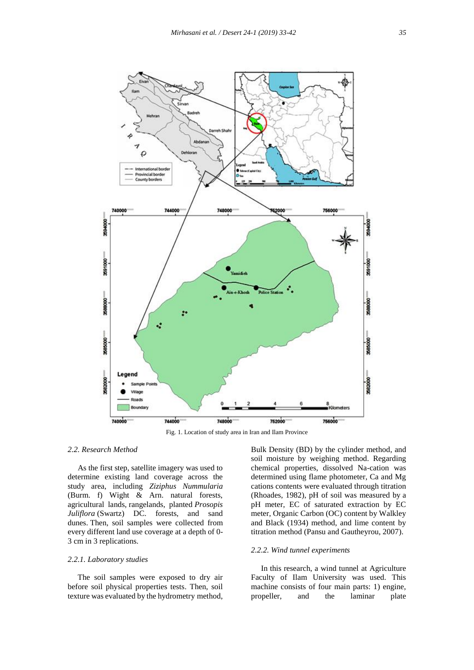

Fig. 1. Location of study area in Iran and Ilam Province

## *2.2. Research Method*

 As the first step, satellite imagery was used to determine existing land coverage across the study area, including *Ziziphus Nummularia* (Burm. f) Wight & Arn. natural forests, agricultural lands, rangelands, planted *Prosopis Juliflora* (Swartz) DC. forests, and sand dunes. Then, soil samples were collected from every different land use coverage at a depth of 0- 3 cm in 3 replications.

## *2.2.1. Laboratory studies*

 The soil samples were exposed to dry air before soil physical properties tests. Then, soil texture was evaluated by the hydrometry method,

Bulk Density (BD) by the cylinder method, and soil moisture by weighing method. Regarding chemical properties, dissolved Na-cation was determined using flame photometer, Ca and Mg cations contents were evaluated through titration (Rhoades, 1982), pH of soil was measured by a pH meter, EC of saturated extraction by EC meter, Organic Carbon (OC) content by Walkley and Black (1934) method, and lime content by titration method (Pansu and Gautheyrou, 2007).

## *2.2.2. Wind tunnel experiments*

 In this research, a wind tunnel at Agriculture Faculty of Ilam University was used. This machine consists of four main parts: 1) engine, propeller, and the laminar plate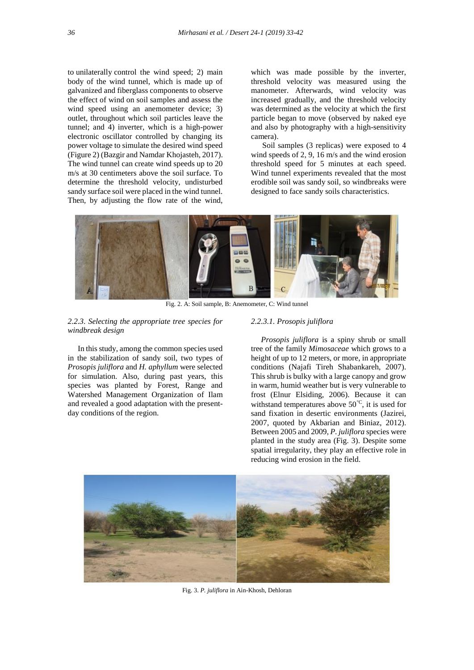to unilaterally control the wind speed; 2) main body of the wind tunnel, which is made up of galvanized and fiberglass components to observe the effect of wind on soil samples and assess the wind speed using an anemometer device; 3) outlet, throughout which soil particles leave the tunnel; and 4) inverter, which is a high-power electronic oscillator controlled by changing its power voltage to simulate the desired wind speed (Figure 2) (Bazgir and Namdar Khojasteh, 2017). The wind tunnel can create wind speeds up to 20 m/s at 30 centimeters above the soil surface. To determine the threshold velocity, undisturbed sandy surface soil were placed in the wind tunnel. Then, by adjusting the flow rate of the wind,

which was made possible by the inverter, threshold velocity was measured using the manometer. Afterwards, wind velocity was increased gradually, and the threshold velocity was determined as the velocity at which the first particle began to move (observed by naked eye and also by photography with a high-sensitivity camera).

Soil samples (3 replicas) were exposed to 4 wind speeds of 2, 9, 16 m/s and the wind erosion threshold speed for 5 minutes at each speed. Wind tunnel experiments revealed that the most erodible soil was sandy soil, so windbreaks were designed to face sandy soils characteristics.



Fig. 2. A: Soil sample, B: Anemometer, C: Wind tunnel

## *2.2.3. Selecting the appropriate tree species for windbreak design*

 In this study, among the common species used in the stabilization of sandy soil, two types of *Prosopis juliflora* and *H. aphyllum* were selected for simulation. Also, during past years, this species was planted by Forest, Range and Watershed Management Organization of Ilam and revealed a good adaptation with the presentday conditions of the region.

## *2.2.3.1. Prosopis juliflora*

 *Prosopis juliflora* is a spiny shrub or small tree of the family *Mimosaceae* which grows to a height of up to 12 meters, or more, in appropriate conditions (Najafi Tireh Shabankareh, 2007). This shrub is bulky with a large canopy and grow in warm, humid weather but is very vulnerable to frost (Elnur Elsiding, 2006). Because it can withstand temperatures above  $50^{\circ}$ C, it is used for sand fixation in desertic environments (Jazirei, 2007, quoted by Akbarian and Biniaz, 2012). Between 2005 and 2009, *P. juliflora* species were planted in the study area (Fig. 3). Despite some spatial irregularity, they play an effective role in reducing wind erosion in the field.



Fig. 3. *P. juliflora* in Ain-Khosh, Dehloran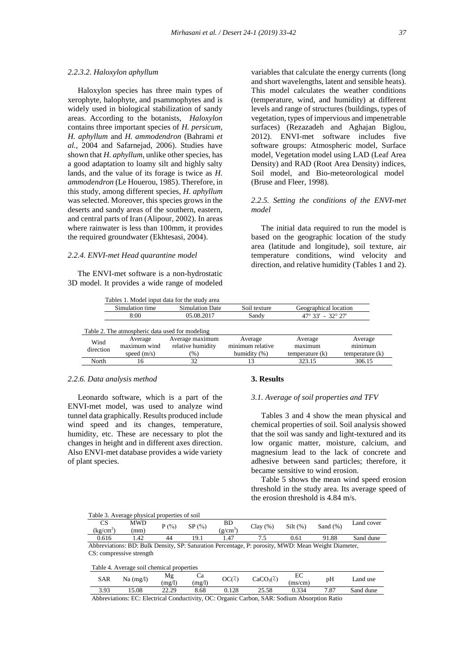## *2.2.3.2. Haloxylon aphyllum*

 Haloxylon species has three main types of xerophyte, halophyte, and psammophytes and is widely used in biological stabilization of sandy areas. According to the botanists, *Haloxylon* contains three important species of *H. persicum, H. aphyllum* and *H. ammodendron* (Bahrami *et al.,* 2004 and Safarnejad, 2006). Studies have shown that *H. aphyllum*, unlike other species, has a good adaptation to loamy silt and highly salty lands, and the value of its forage is twice as *H. ammodendron* (Le Houerou, 1985). Therefore, in this study, among different species, *H. aphyllum* was selected. Moreover, this species grows in the deserts and sandy areas of the southern, eastern, and central parts of Iran (Alipour, 2002). In areas where rainwater is less than 100mm, it provides the required groundwater (Ekhtesasi, 2004).

## *2.2.4. ENVI-met Head quarantine model*

 The ENVI-met software is a non-hydrostatic 3D model. It provides a wide range of modeled

|                 | Tables 1. Model input data for the study area |
|-----------------|-----------------------------------------------|
| Simulation time | Simulation Date                               |

variables that calculate the energy currents (long and short wavelengths, latent and sensible heats). This model calculates the weather conditions (temperature, wind, and humidity) at different levels and range of structures (buildings, types of vegetation, types of impervious and impenetrable surfaces) (Rezazadeh and Aghajan Biglou, 2012). ENVI-met software includes five software groups: Atmospheric model, Surface model, Vegetation model using LAD (Leaf Area Density) and RAD (Root Area Density) indices, Soil model, and Bio-meteorological model (Bruse and Fleer, 1998).

# *2.2.5. Setting the conditions of the ENVI-met model*

 The initial data required to run the model is based on the geographic location of the study area (latitude and longitude), soil texture, air temperature conditions, wind velocity and direction, and relative humidity (Tables 1 and 2).

|                   | Simulation time                                 | Simulation Date   | Soil texture     | Geographical location           |         |
|-------------------|-------------------------------------------------|-------------------|------------------|---------------------------------|---------|
|                   | 8:00                                            | 05.08.2017        | Sandy            | $47^{\circ}33' - 32^{\circ}27'$ |         |
|                   |                                                 |                   |                  |                                 |         |
|                   | Table 2. The atmospheric data used for modeling |                   |                  |                                 |         |
|                   | Average                                         | Average maximum   | Average          | Average                         | Average |
| Wind<br>direction | maximum wind                                    | relative humidity | minimum relative | maximum                         | minimum |

North 16 32 13 323.15 306.15

## *2.2.6. Data analysis method*

 Leonardo software, which is a part of the ENVI-met model, was used to analyze wind tunnel data graphically. Results produced include wind speed and its changes, temperature, humidity, etc. These are necessary to plot the changes in height and in different axes direction. Also ENVI-met database provides a wide variety of plant species.

## **3. Results**

## *3.1. Average of soil properties and TFV*

 Tables 3 and 4 show the mean physical and chemical properties of soil. Soil analysis showed that the soil was sandy and light-textured and its low organic matter, moisture, calcium, and magnesium lead to the lack of concrete and adhesive between sand particles; therefore, it became sensitive to wind erosion.

 Table 5 shows the mean wind speed erosion threshold in the study area. Its average speed of the erosion threshold is 4.84 m/s.

|  |  |  |  | Table 3. Average physical properties of soil |  |
|--|--|--|--|----------------------------------------------|--|
|--|--|--|--|----------------------------------------------|--|

 $BD$  Clay (%) Silt (%) Sand (%) Land cover  $(g/cm<sup>3</sup>)$ MWD  $P(\%)$  SP $(\%)$ (mm) CS  $(kg/cm<sup>2</sup>)$ 0.616 1.42 44 19.1 1.47 7.5 0.61 91.88 Sand dune Abbreviations: BD: Bulk Density, SP: Saturation Percentage, P: porosity, MWD: Mean Weight Diameter,

CS: compressive strength

|            | Table 4. Average soil chemical properties |              |                            |               |                     |                |                |           |
|------------|-------------------------------------------|--------------|----------------------------|---------------|---------------------|----------------|----------------|-----------|
| <b>SAR</b> | $Na$ (mg/l)                               | Mg<br>(mg/l) | Uа<br>(mg/l)               | OC(Z)         | $CaCO3(\lambda)$    | EC<br>(ms/cm)  | pН             | Land use  |
| 3.93       | 5.08                                      | 22.29        | 8.68                       | 128           | 25.58               | 0.334          | 7.87           | Sand dune |
| 111        | $FA$ $B1$                                 | $\sim$       | $\cdots$ $\alpha$ $\alpha$ | $\sim$ $\sim$ | $0 \pm 7$ $0 \pm 1$ | $\overline{1}$ | $\mathbf{r}$ . |           |

Abbreviations: EC: Electrical Conductivity, OC: Organic Carbon, SAR: Sodium Absorption Ratio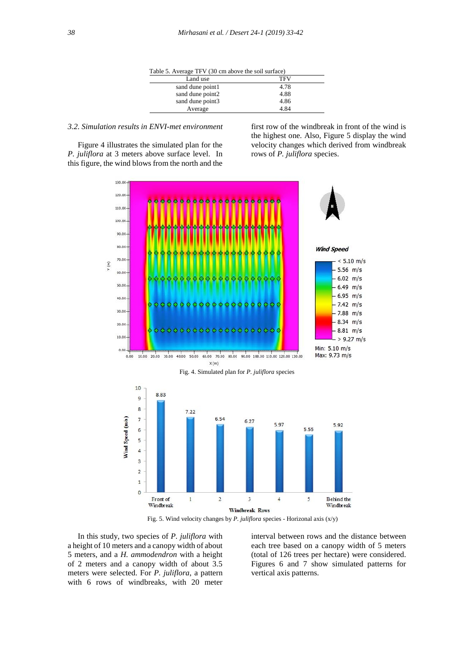| $\frac{1}{2}$    |            |  |
|------------------|------------|--|
| Land use         | <b>TFV</b> |  |
| sand dune point1 | 4.78       |  |
| sand dune point2 | 4.88       |  |
| sand dune point3 | 4.86       |  |
| Average          | 4.84       |  |

# *3.2. Simulation results in ENVI-met environment*

 Figure 4 illustrates the simulated plan for the *P. juliflora* at 3 meters above surface level. In this figure, the wind blows from the north and the

first row of the windbreak in front of the wind is the highest one. Also, Figure 5 display the wind velocity changes which derived from windbreak rows of *P. juliflora* species.



Fig. 5. Wind velocity changes by *P. juliflora* species - Horizonal axis (x/y)

 In this study, two species of *P. juliflora* with a height of 10 meters and a canopy width of about 5 meters, and a *H. ammodendron* with a height of 2 meters and a canopy width of about 3.5 meters were selected. For *P. juliflora*, a pattern with 6 rows of windbreaks, with 20 meter

interval between rows and the distance between each tree based on a canopy width of 5 meters (total of 126 trees per hectare) were considered. Figures 6 and 7 show simulated patterns for vertical axis patterns.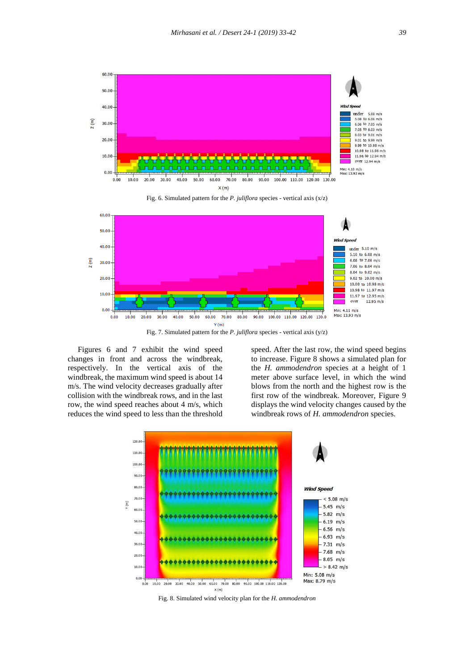





 Figures 6 and 7 exhibit the wind speed changes in front and across the windbreak, respectively. In the vertical axis of the windbreak, the maximum wind speed is about 14 m/s. The wind velocity decreases gradually after collision with the windbreak rows, and in the last row, the wind speed reaches about 4 m/s, which reduces the wind speed to less than the threshold

speed. After the last row, the wind speed begins to increase. Figure 8 shows a simulated plan for the *H. ammodendron* species at a height of 1 meter above surface level, in which the wind blows from the north and the highest row is the first row of the windbreak. Moreover, Figure 9 displays the wind velocity changes caused by the windbreak rows of *H. ammodendron* species.



Fig. 8. Simulated wind velocity plan for the *H. ammodendron*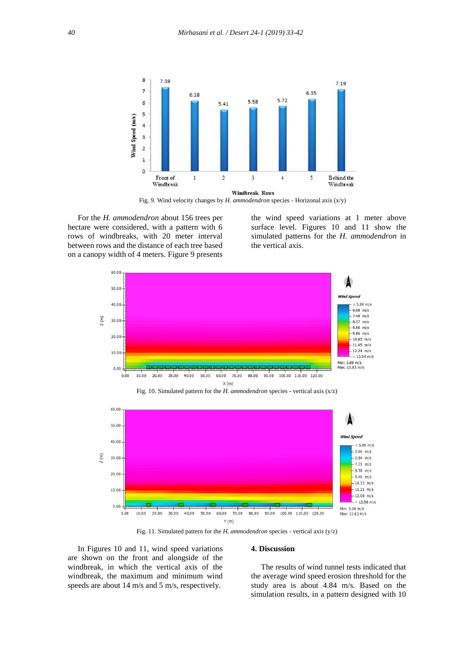

Fig. 9. Wind velocity changes by *H. ammodendron* species - Horizonal axis (x/y)

 For the *H. ammodendron* about 156 trees per hectare were considered, with a pattern with 6 rows of windbreaks, with 20 meter interval between rows and the distance of each tree based on a canopy width of 4 meters. Figure 9 presents

the wind speed variations at 1 meter above surface level. Figures 10 and 11 show the simulated patterns for the *H. ammodendron* in the vertical axis.



Fig. 10. Simulated pattern for the *H. ammodendron* species - vertical axis (x/z)



Fig. 11. Simulated pattern for the *H. ammodendron* species - vertical axis (y/z)

 In Figures 10 and 11, wind speed variations are shown on the front and alongside of the windbreak, in which the vertical axis of the windbreak, the maximum and minimum wind speeds are about 14 m/s and 5 m/s, respectively.

## **4. Discussion**

 The results of wind tunnel tests indicated that the average wind speed erosion threshold for the study area is about 4.84 m/s. Based on the simulation results, in a pattern designed with 10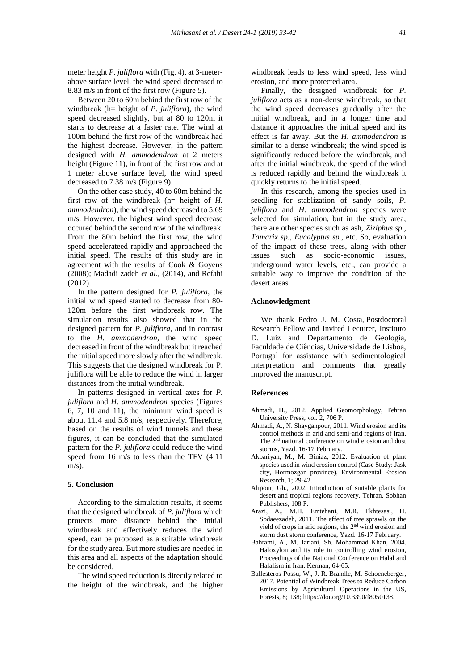meter height *P. juliflora* with (Fig. 4), at 3-meterabove surface level, the wind speed decreased to 8.83 m/s in front of the first row (Figure 5).

 Between 20 to 60m behind the first row of the windbreak (h= height of *P. juliflora*), the wind speed decreased slightly, but at 80 to 120m it starts to decrease at a faster rate. The wind at 100m behind the first row of the windbreak had the highest decrease. However, in the pattern designed with *H. ammodendron* at 2 meters height (Figure 11), in front of the first row and at 1 meter above surface level, the wind speed decreased to 7.38 m/s (Figure 9).

 On the other case study, 40 to 60m behind the first row of the windbreak (h= height of *H. ammodendron*), the wind speed decreased to 5.69 m/s. However, the highest wind speed decrease occured behind the second row of the windbreak. From the 80m behind the first row, the wind speed accelerateed rapidly and approacheed the initial speed. The results of this study are in agreement with the results of Cook & Goyens (2008); Madadi zadeh *et al.,* (2014), and Refahi (2012).

 In the pattern designed for *P. juliflora,* the initial wind speed started to decrease from 80- 120m before the first windbreak row. The simulation results also showed that in the designed pattern for *P. juliflora*, and in contrast to the *H. ammodendron*, the wind speed decreased in front of the windbreak but it reached the initial speed more slowly after the windbreak. This suggests that the designed windbreak for P. juliflora will be able to reduce the wind in larger distances from the initial windbreak.

 In patterns designed in vertical axes for *P. juliflora* and *H. ammodendron* species (Figures 6, 7, 10 and 11), the minimum wind speed is about 11.4 and 5.8 m/s, respectively. Therefore, based on the results of wind tunnels and these figures, it can be concluded that the simulated pattern for the *P. juliflora* could reduce the wind speed from 16 m/s to less than the TFV (4.11  $m/s$ ).

#### **5. Conclusion**

 According to the simulation results, it seems that the designed windbreak of *P. juliflora* which protects more distance behind the initial windbreak and effectively reduces the wind speed, can be proposed as a suitable windbreak for the study area. But more studies are needed in this area and all aspects of the adaptation should be considered.

 The wind speed reduction is directly related to the height of the windbreak, and the higher windbreak leads to less wind speed, less wind erosion, and more protected area.

 Finally, the designed windbreak for *P. juliflora* acts as a non-dense windbreak, so that the wind speed decreases gradually after the initial windbreak, and in a longer time and distance it approaches the initial speed and its effect is far away. But the *H. ammodendron* is similar to a dense windbreak; the wind speed is significantly reduced before the windbreak, and after the initial windbreak, the speed of the wind is reduced rapidly and behind the windbreak it quickly returns to the initial speed.

 In this research, among the species used in seedling for stablization of sandy soils, *P. juliflora* and *H. ammodendron* species were selected for simulation, but in the study area, there are other species such as ash, *Ziziphus sp., Tamarix sp., Eucalyptus sp.,* etc. So, evaluation of the impact of these trees, along with other issues such as socio-economic issues, underground water levels, etc., can provide a suitable way to improve the condition of the desert areas.

## **Acknowledgment**

 We thank Pedro J. M. Costa, Postdoctoral Research Fellow and Invited Lecturer, Instituto D. Luiz and Departamento de Geologia, Faculdade de Ciências, Universidade de Lisboa, Portugal for assistance with sedimentological interpretation and comments that greatly improved the manuscript.

## **References**

- Ahmadi, H., 2012. Applied Geomorphology, Tehran University Press, vol. 2, 706 P.
- Ahmadi, A., N. Shayganpour, 2011. Wind erosion and its control methods in arid and semi-arid regions of Iran. The 2<sup>nd</sup> national conference on wind erosion and dust storms, Yazd. 16-17 February.
- Akbariyan, M., M. Biniaz, 2012. Evaluation of plant species used in wind erosion control (Case Study: Jask city, Hormozgan province), Environmental Erosion Research, 1; 29-42.
- Alipour, Gh., 2002. Introduction of suitable plants for desert and tropical regions recovery, Tehran, Sobhan Publishers, 108 P.
- Arazi, A., M.H. Emtehani, M.R. Ekhtesasi, H. Sodaeezadeh, 2011. The effect of tree sprawls on the yield of crops in arid regions, the 2nd wind erosion and storm dust storm conference, Yazd. 16-17 February.
- Bahrami, A., M. Jariani, Sh. Mohammad Khan, 2004. Haloxylon and its role in controlling wind erosion, Proceedings of the National Conference on Halal and Halalism in Iran. Kerman, 64-65.
- Ballesteros-Possu, W., J. R. Brandle, M. Schoeneberger, 2017. Potential of Windbreak Trees to Reduce Carbon Emissions by Agricultural Operations in the US, Forests, 8; 138; https://doi.org/10.3390/f8050138.